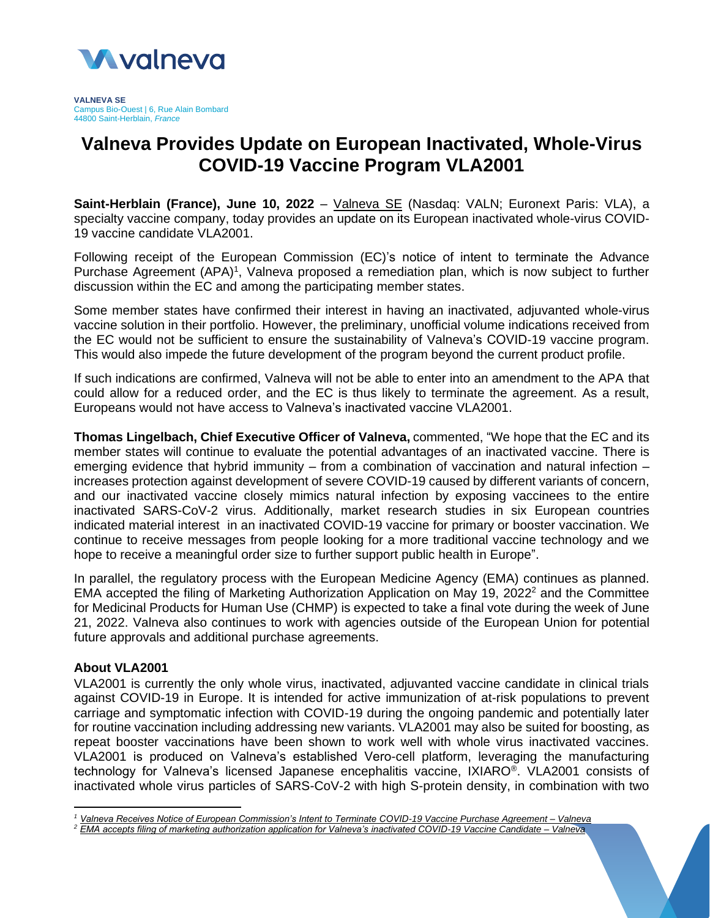

# **Valneva Provides Update on European Inactivated, Whole-Virus COVID-19 Vaccine Program VLA2001**

**Saint-Herblain (France), June 10, 2022** – [Valneva](http://www.valneva.com/) SE (Nasdaq: VALN; Euronext Paris: VLA), a specialty vaccine company, today provides an update on its European inactivated whole-virus COVID-19 vaccine candidate VLA2001.

Following receipt of the European Commission (EC)'s notice of intent to terminate the Advance Purchase Agreement (APA)<sup>1</sup>, Valneva proposed a remediation plan, which is now subject to further discussion within the EC and among the participating member states.

Some member states have confirmed their interest in having an inactivated, adjuvanted whole-virus vaccine solution in their portfolio. However, the preliminary, unofficial volume indications received from the EC would not be sufficient to ensure the sustainability of Valneva's COVID-19 vaccine program. This would also impede the future development of the program beyond the current product profile.

If such indications are confirmed, Valneva will not be able to enter into an amendment to the APA that could allow for a reduced order, and the EC is thus likely to terminate the agreement. As a result, Europeans would not have access to Valneva's inactivated vaccine VLA2001.

**Thomas Lingelbach, Chief Executive Officer of Valneva,** commented, "We hope that the EC and its member states will continue to evaluate the potential advantages of an inactivated vaccine. There is emerging evidence that hybrid immunity – from a combination of vaccination and natural infection – increases protection against development of severe COVID-19 caused by different variants of concern, and our inactivated vaccine closely mimics natural infection by exposing vaccinees to the entire inactivated SARS-CoV-2 virus. Additionally, market research studies in six European countries indicated material interest in an inactivated COVID-19 vaccine for primary or booster vaccination. We continue to receive messages from people looking for a more traditional vaccine technology and we hope to receive a meaningful order size to further support public health in Europe".

In parallel, the regulatory process with the European Medicine Agency (EMA) continues as planned. EMA accepted the filing of Marketing Authorization Application on May 19, 2022 $<sup>2</sup>$  and the Committee</sup> for Medicinal Products for Human Use (CHMP) is expected to take a final vote during the week of June 21, 2022. Valneva also continues to work with agencies outside of the European Union for potential future approvals and additional purchase agreements.

## **About VLA2001**

VLA2001 is currently the only whole virus, inactivated, adjuvanted vaccine candidate in clinical trials against COVID-19 in Europe. It is intended for active immunization of at-risk populations to prevent carriage and symptomatic infection with COVID-19 during the ongoing pandemic and potentially later for routine vaccination including addressing new variants. VLA2001 may also be suited for boosting, as repeat booster vaccinations have been shown to work well with whole virus inactivated vaccines. VLA2001 is produced on Valneva's established Vero-cell platform, leveraging the manufacturing technology for Valneva's licensed Japanese encephalitis vaccine, IXIARO® . VLA2001 consists of inactivated whole virus particles of SARS-CoV-2 with high S-protein density, in combination with two

*<sup>1</sup> [Valneva Receives Notice of European Commission's Intent to Terminate COVID-19 Vaccine Purchase Agreement –](https://valneva.com/press-release/valneva-receives-notice-of-european-commissions-intent-to-terminate-covid-19-vaccine-purchase-agreement/) Valneva*

*<sup>2</sup> [EMA accepts filing of marketing authorization application for Valneva's inactivated COVID-19 Vaccine Candidate –](https://valneva.com/press-release/ema-accepts-filing-of-marketing-authorization-application-for-valnevas-inactivated-covid-19-vaccine-candidate/) Valneva*